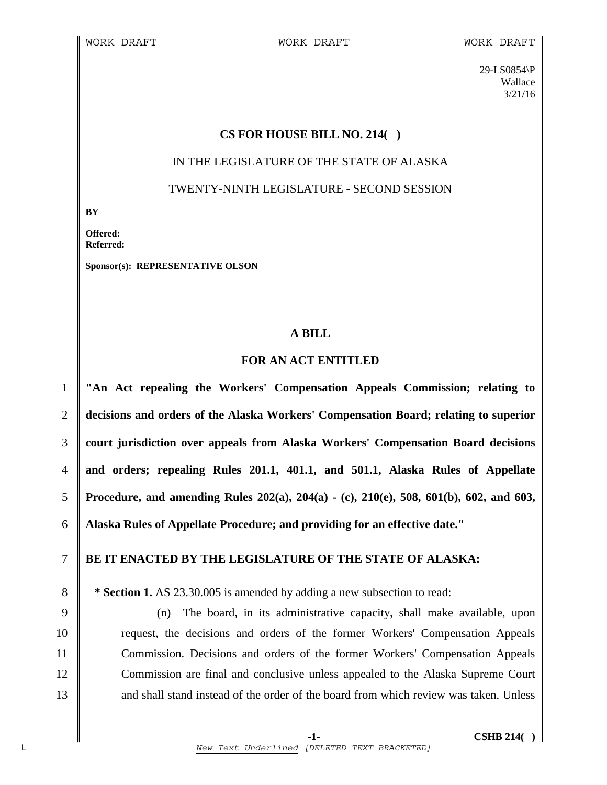29-LS0854\P Wallace 3/21/16

### **CS FOR HOUSE BILL NO. 214( )**

# IN THE LEGISLATURE OF THE STATE OF ALASKA TWENTY-NINTH LEGISLATURE - SECOND SESSION

**BY** 

**Offered: Referred:** 

**Sponsor(s): REPRESENTATIVE OLSON** 

## **A BILL**

## **FOR AN ACT ENTITLED**

**"An Act repealing the Workers' Compensation Appeals Commission; relating to decisions and orders of the Alaska Workers' Compensation Board; relating to superior court jurisdiction over appeals from Alaska Workers' Compensation Board decisions and orders; repealing Rules 201.1, 401.1, and 501.1, Alaska Rules of Appellate Procedure, and amending Rules 202(a), 204(a) - (c), 210(e), 508, 601(b), 602, and 603, Alaska Rules of Appellate Procedure; and providing for an effective date."** 

## 7 **BE IT ENACTED BY THE LEGISLATURE OF THE STATE OF ALASKA:**

8 **\* Section 1.** AS 23.30.005 is amended by adding a new subsection to read:

9 (n) The board, in its administrative capacity, shall make available, upon 10 request, the decisions and orders of the former Workers' Compensation Appeals 11 Commission. Decisions and orders of the former Workers' Compensation Appeals 12 Commission are final and conclusive unless appealed to the Alaska Supreme Court 13 **a** and shall stand instead of the order of the board from which review was taken. Unless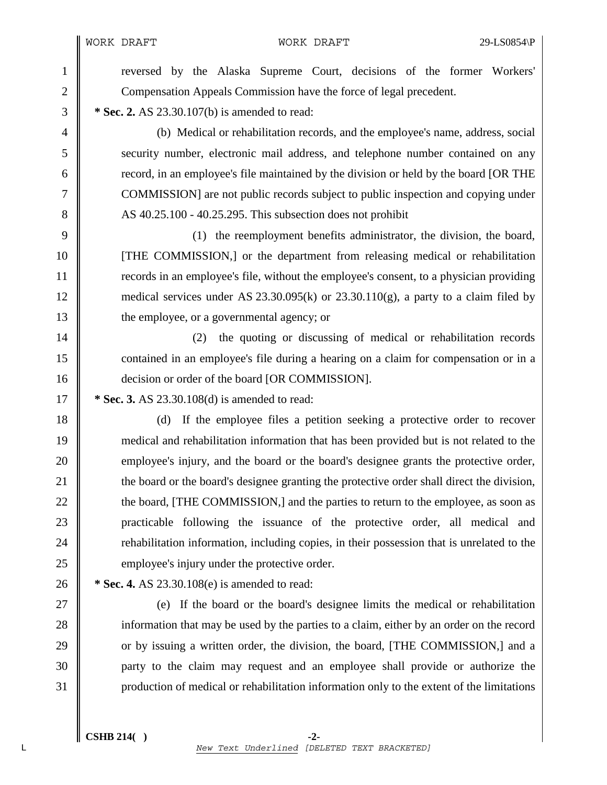WORK DRAFT WORK DRAFT 29-LS0854\P

1 reversed by the Alaska Supreme Court, decisions of the former Workers' 2 Compensation Appeals Commission have the force of legal precedent. 3 **\* Sec. 2.** AS 23.30.107(b) is amended to read: 4 (b) Medical or rehabilitation records, and the employee's name, address, social 5 security number, electronic mail address, and telephone number contained on any 6 cord, in an employee's file maintained by the division or held by the board [OR THE 7 COMMISSION] are not public records subject to public inspection and copying under 8 AS 40.25.100 - 40.25.295. This subsection does not prohibit 9 (1) the reemployment benefits administrator, the division, the board, 10 [THE COMMISSION,] or the department from releasing medical or rehabilitation 11 records in an employee's file, without the employee's consent, to a physician providing 12 medical services under AS 23.30.095(k) or 23.30.110(g), a party to a claim filed by 13 the employee, or a governmental agency; or 14 || (2) the quoting or discussing of medical or rehabilitation records 15 contained in an employee's file during a hearing on a claim for compensation or in a 16 **decision or order of the board [OR COMMISSION].** 17 **\* Sec. 3.** AS 23.30.108(d) is amended to read:

18 (d) If the employee files a petition seeking a protective order to recover 19 medical and rehabilitation information that has been provided but is not related to the 20 employee's injury, and the board or the board's designee grants the protective order, 21 the board or the board's designee granting the protective order shall direct the division, 22 the board, [THE COMMISSION,] and the parties to return to the employee, as soon as 23 practicable following the issuance of the protective order, all medical and 24 **rehabilitation information, including copies, in their possession that is unrelated to the** 25 employee's injury under the protective order.

26 **\* Sec. 4.** AS 23.30.108(e) is amended to read:

27 (e) If the board or the board's designee limits the medical or rehabilitation 28 information that may be used by the parties to a claim, either by an order on the record 29  $\parallel$  or by issuing a written order, the division, the board, [THE COMMISSION,] and a 30 party to the claim may request and an employee shall provide or authorize the 31 production of medical or rehabilitation information only to the extent of the limitations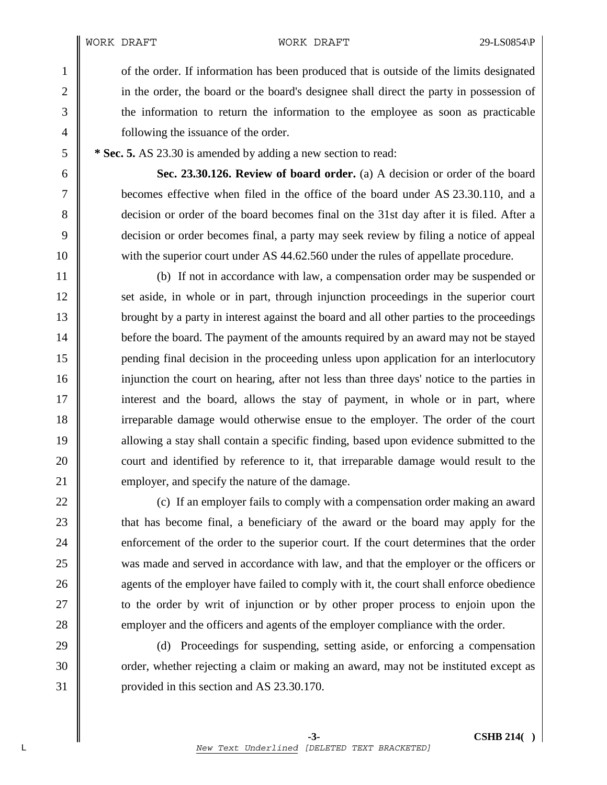WORK DRAFT WORK DRAFT 29-LS0854\P

1 of the order. If information has been produced that is outside of the limits designated 2 in the order, the board or the board's designee shall direct the party in possession of 3 the information to return the information to the employee as soon as practicable 4 **following the issuance of the order.** 

5 **\* Sec. 5.** AS 23.30 is amended by adding a new section to read:

6 **Sec. 23.30.126. Review of board order.** (a) A decision or order of the board 7 becomes effective when filed in the office of the board under AS 23.30.110, and a 8 decision or order of the board becomes final on the 31st day after it is filed. After a 9 decision or order becomes final, a party may seek review by filing a notice of appeal 10 with the superior court under AS 44.62.560 under the rules of appellate procedure.

11 (b) If not in accordance with law, a compensation order may be suspended or 12 set aside, in whole or in part, through injunction proceedings in the superior court 13 brought by a party in interest against the board and all other parties to the proceedings 14 **before the board.** The payment of the amounts required by an award may not be stayed 15 pending final decision in the proceeding unless upon application for an interlocutory 16 injunction the court on hearing, after not less than three days' notice to the parties in 17 interest and the board, allows the stay of payment, in whole or in part, where 18 irreparable damage would otherwise ensue to the employer. The order of the court 19 allowing a stay shall contain a specific finding, based upon evidence submitted to the 20 court and identified by reference to it, that irreparable damage would result to the 21 **employer**, and specify the nature of the damage.

22  $\parallel$  (c) If an employer fails to comply with a compensation order making an award 23 **that has become final, a beneficiary of the award or the board may apply for the** 24 enforcement of the order to the superior court. If the court determines that the order 25 was made and served in accordance with law, and that the employer or the officers or 26 **agents** of the employer have failed to comply with it, the court shall enforce obedience 27 **the order by writ of injunction or by other proper process to enjoin upon the** 28 employer and the officers and agents of the employer compliance with the order.

29 (d) Proceedings for suspending, setting aside, or enforcing a compensation 30 crder, whether rejecting a claim or making an award, may not be instituted except as 31 provided in this section and AS 23.30.170.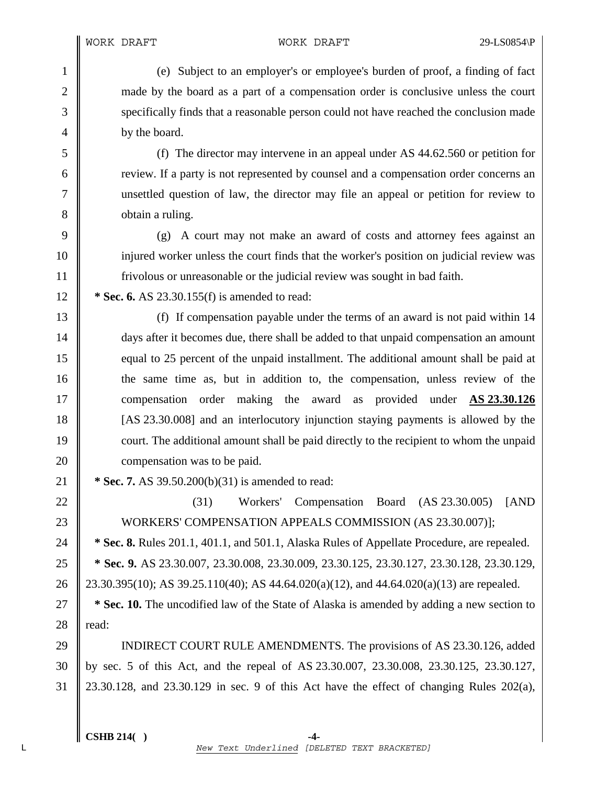1 (e) Subject to an employer's or employee's burden of proof, a finding of fact 2 made by the board as a part of a compensation order is conclusive unless the court 3 specifically finds that a reasonable person could not have reached the conclusion made 4 by the board.

5 (f) The director may intervene in an appeal under AS 44.62.560 or petition for 6 **Figure 1** review. If a party is not represented by counsel and a compensation order concerns an 7 unsettled question of law, the director may file an appeal or petition for review to 8 **b**tain a ruling.

9 (g) A court may not make an award of costs and attorney fees against an 10 injured worker unless the court finds that the worker's position on judicial review was 11 frivolous or unreasonable or the judicial review was sought in bad faith.

12 **\* Sec. 6.** AS 23.30.155(f) is amended to read:

13 (f) If compensation payable under the terms of an award is not paid within 14 14 days after it becomes due, there shall be added to that unpaid compensation an amount 15 equal to 25 percent of the unpaid installment. The additional amount shall be paid at 16 the same time as, but in addition to, the compensation, unless review of the 17 compensation order making the award as provided under **AS 23.30.126** 18 [AS 23.30.008] and an interlocutory injunction staying payments is allowed by the 19 court. The additional amount shall be paid directly to the recipient to whom the unpaid 20 **compensation** was to be paid.

21 **\* Sec. 7.** AS 39.50.200(b)(31) is amended to read:

 $\parallel$  (31) Workers' Compensation Board (AS 23.30.005) [AND 23 WORKERS' COMPENSATION APPEALS COMMISSION (AS 23.30.007)]; **\* Sec. 8.** Rules 201.1, 401.1, and 501.1, Alaska Rules of Appellate Procedure, are repealed. **\* Sec. 9.** AS 23.30.007, 23.30.008, 23.30.009, 23.30.125, 23.30.127, 23.30.128, 23.30.129, 26 23.30.395(10); AS 39.25.110(40); AS 44.64.020(a)(12), and 44.64.020(a)(13) are repealed. **\* Sec. 10.** The uncodified law of the State of Alaska is amended by adding a new section to  $\parallel$  read:

29 INDIRECT COURT RULE AMENDMENTS. The provisions of AS 23.30.126, added 30 by sec. 5 of this Act, and the repeal of AS 23.30.007, 23.30.008, 23.30.125, 23.30.127, 31 23.30.128, and 23.30.129 in sec. 9 of this Act have the effect of changing Rules 202(a),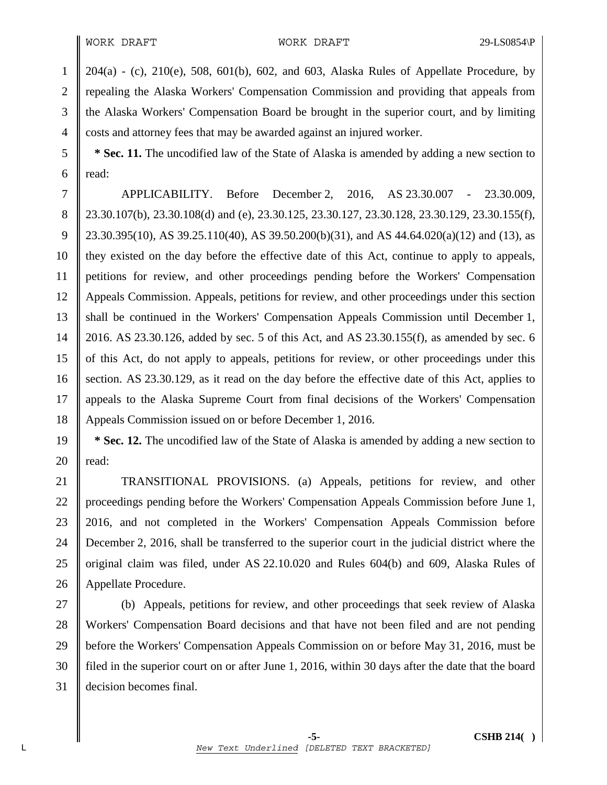$1 \parallel 204(a)$  - (c), 210(e), 508, 601(b), 602, and 603, Alaska Rules of Appellate Procedure, by 2 repealing the Alaska Workers' Compensation Commission and providing that appeals from 3 the Alaska Workers' Compensation Board be brought in the superior court, and by limiting 4 costs and attorney fees that may be awarded against an injured worker.

5 **\* Sec. 11.** The uncodified law of the State of Alaska is amended by adding a new section to 6  $\parallel$  read:

7 APPLICABILITY. Before December 2, 2016, AS 23.30.007 - 23.30.009, 8 23.30.107(b), 23.30.108(d) and (e), 23.30.125, 23.30.127, 23.30.128, 23.30.129, 23.30.155(f), 9  $\parallel$  23.30.395(10), AS 39.25.110(40), AS 39.50.200(b)(31), and AS 44.64.020(a)(12) and (13), as 10 they existed on the day before the effective date of this Act, continue to apply to appeals, 11 petitions for review, and other proceedings pending before the Workers' Compensation 12 Appeals Commission. Appeals, petitions for review, and other proceedings under this section 13 shall be continued in the Workers' Compensation Appeals Commission until December 1, 14 2016. AS 23.30.126, added by sec. 5 of this Act, and AS 23.30.155(f), as amended by sec. 6 15 of this Act, do not apply to appeals, petitions for review, or other proceedings under this 16 Section. AS 23.30.129, as it read on the day before the effective date of this Act, applies to 17 appeals to the Alaska Supreme Court from final decisions of the Workers' Compensation 18 Appeals Commission issued on or before December 1, 2016.

19 **\* Sec. 12.** The uncodified law of the State of Alaska is amended by adding a new section to 20  $\parallel$  read:

21 | TRANSITIONAL PROVISIONS. (a) Appeals, petitions for review, and other 22 | proceedings pending before the Workers' Compensation Appeals Commission before June 1, 23 2016, and not completed in the Workers' Compensation Appeals Commission before 24 December 2, 2016, shall be transferred to the superior court in the judicial district where the 25 original claim was filed, under AS 22.10.020 and Rules 604(b) and 609, Alaska Rules of 26 | Appellate Procedure.

27 (b) Appeals, petitions for review, and other proceedings that seek review of Alaska 28 Workers' Compensation Board decisions and that have not been filed and are not pending 29 before the Workers' Compensation Appeals Commission on or before May 31, 2016, must be 30 filed in the superior court on or after June 1, 2016, within 30 days after the date that the board 31 decision becomes final.